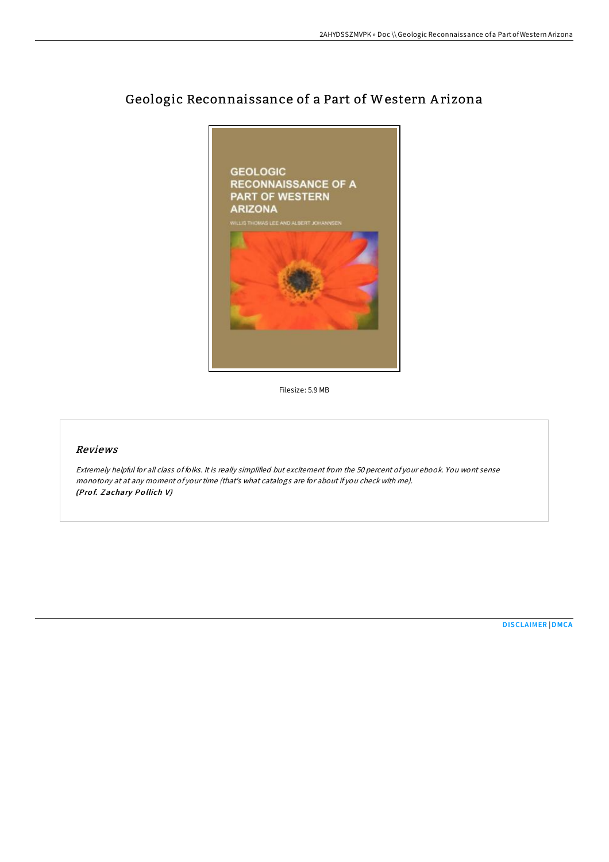

# Geologic Reconnaissance of a Part of Western A rizona

Filesize: 5.9 MB

#### Reviews

Extremely helpful for all class of folks. It is really simplified but excitement from the 50 percent of your ebook. You wont sense monotony at at any moment of your time (that's what catalogs are for about if you check with me). (Prof. Zachary Pollich V)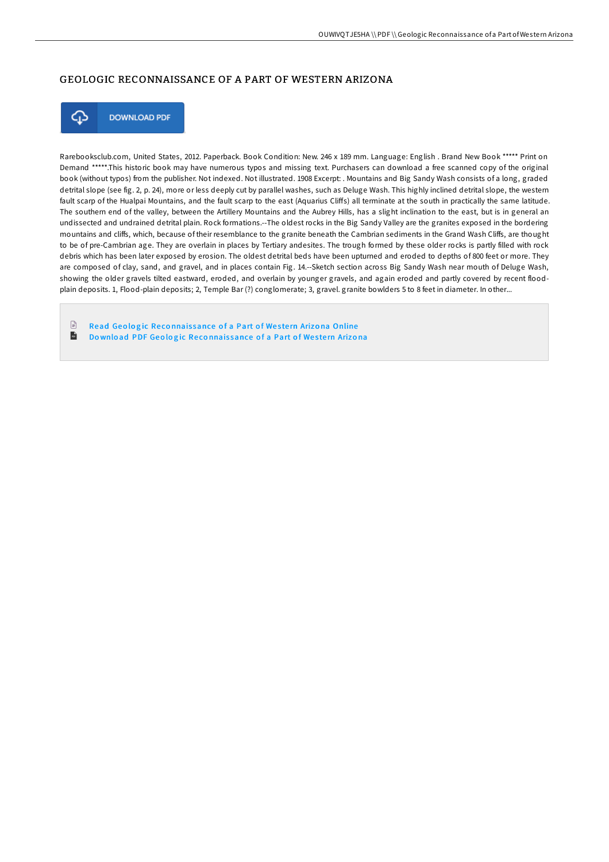# GEOLOGIC RECONNAISSANCE OF A PART OF WESTERN ARIZONA



**DOWNLOAD PDF** 

Rarebooksclub.com, United States, 2012. Paperback. Book Condition: New. 246 x 189 mm. Language: English . Brand New Book \*\*\*\*\* Print on Demand \*\*\*\*\*.This historic book may have numerous typos and missing text. Purchasers can download a free scanned copy of the original book (without typos) from the publisher. Not indexed. Not illustrated. 1908 Excerpt: . Mountains and Big Sandy Wash consists of a long, graded detrital slope (see fig. 2, p. 24), more or less deeply cut by parallel washes, such as Deluge Wash. This highly inclined detrital slope, the western fault scarp of the Hualpai Mountains, and the fault scarp to the east (Aquarius CliFs) all terminate at the south in practically the same latitude. The southern end of the valley, between the Artillery Mountains and the Aubrey Hills, has a slight inclination to the east, but is in general an undissected and undrained detrital plain. Rock formations.--The oldest rocks in the Big Sandy Valley are the granites exposed in the bordering mountains and cliffs, which, because of their resemblance to the granite beneath the Cambrian sediments in the Grand Wash Cliffs, are thought to be of pre-Cambrian age. They are overlain in places by Tertiary andesites. The trough formed by these older rocks is partly filled with rock debris which has been later exposed by erosion. The oldest detrital beds have been upturned and eroded to depths of 800 feet or more. They are composed of clay, sand, and gravel, and in places contain Fig. 14.--Sketch section across Big Sandy Wash near mouth of Deluge Wash, showing the older gravels tilted eastward, eroded, and overlain by younger gravels, and again eroded and partly covered by recent floodplain deposits. 1, Flood-plain deposits; 2, Temple Bar (?) conglomerate; 3, gravel. granite bowlders 5 to 8 feet in diameter. In other...

 $\Box$ Read Geologic Reconnaissance of a Part of Western Arizona [Online](http://almighty24.tech/geologic-reconnaissance-of-a-part-of-western-ari.html)  $\mathbf{H}$ Do wnload PDF Geologic Reconnais[sance](http://almighty24.tech/geologic-reconnaissance-of-a-part-of-western-ari.html) of a Part of Western Arizona